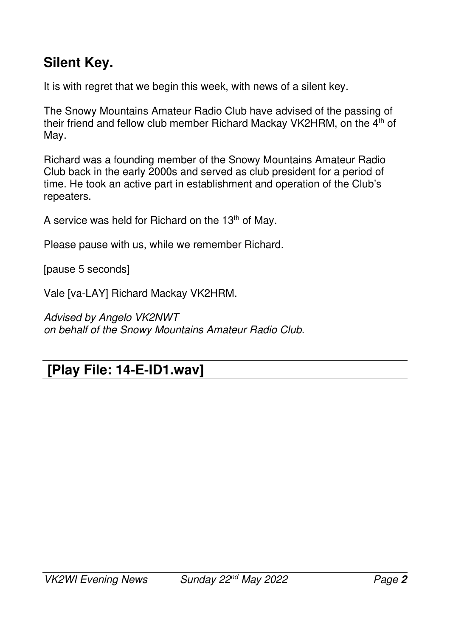## **Silent Key.**

It is with regret that we begin this week, with news of a silent key.

The Snowy Mountains Amateur Radio Club have advised of the passing of their friend and fellow club member Richard Mackay VK2HRM, on the 4<sup>th</sup> of May.

Richard was a founding member of the Snowy Mountains Amateur Radio Club back in the early 2000s and served as club president for a period of time. He took an active part in establishment and operation of the Club's repeaters.

A service was held for Richard on the 13<sup>th</sup> of May.

Please pause with us, while we remember Richard.

[pause 5 seconds]

Vale [va-LAY] Richard Mackay VK2HRM.

*Advised by Angelo VK2NWT on behalf of the Snowy Mountains Amateur Radio Club.* 

#### **[Play File: 14-E-ID1.wav]**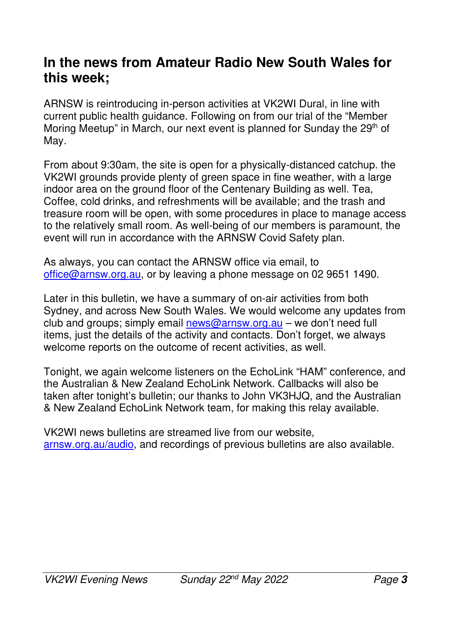#### **In the news from Amateur Radio New South Wales for this week;**

ARNSW is reintroducing in-person activities at VK2WI Dural, in line with current public health guidance. Following on from our trial of the "Member Moring Meetup" in March, our next event is planned for Sunday the 29<sup>th</sup> of May.

From about 9:30am, the site is open for a physically-distanced catchup. the VK2WI grounds provide plenty of green space in fine weather, with a large indoor area on the ground floor of the Centenary Building as well. Tea, Coffee, cold drinks, and refreshments will be available; and the trash and treasure room will be open, with some procedures in place to manage access to the relatively small room. As well-being of our members is paramount, the event will run in accordance with the ARNSW Covid Safety plan.

As always, you can contact the ARNSW office via email, to office@arnsw.org.au, or by leaving a phone message on 02 9651 1490.

Later in this bulletin, we have a summary of on-air activities from both Sydney, and across New South Wales. We would welcome any updates from club and groups; simply email news@arnsw.org.au – we don't need full items, just the details of the activity and contacts. Don't forget, we always welcome reports on the outcome of recent activities, as well.

Tonight, we again welcome listeners on the EchoLink "HAM" conference, and the Australian & New Zealand EchoLink Network. Callbacks will also be taken after tonight's bulletin; our thanks to John VK3HJQ, and the Australian & New Zealand EchoLink Network team, for making this relay available.

VK2WI news bulletins are streamed live from our website, arnsw.org.au/audio, and recordings of previous bulletins are also available.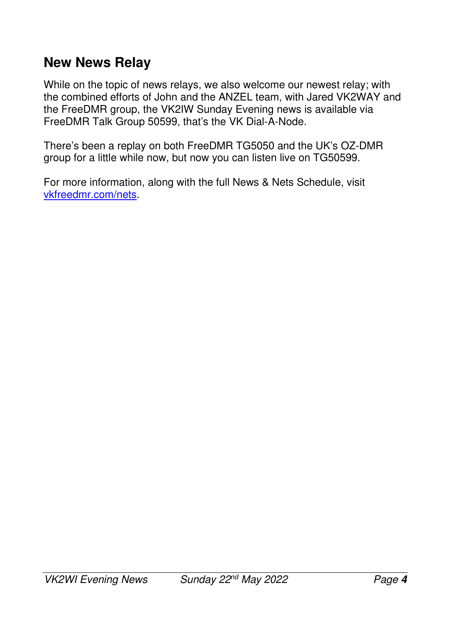#### **New News Relay**

While on the topic of news relays, we also welcome our newest relay; with the combined efforts of John and the ANZEL team, with Jared VK2WAY and the FreeDMR group, the VK2IW Sunday Evening news is available via FreeDMR Talk Group 50599, that's the VK Dial-A-Node.

There's been a replay on both FreeDMR TG5050 and the UK's OZ-DMR group for a little while now, but now you can listen live on TG50599.

For more information, along with the full News & Nets Schedule, visit vkfreedmr.com/nets.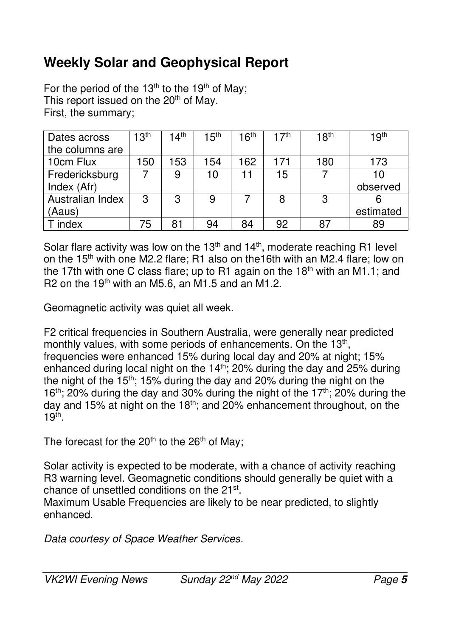## **Weekly Solar and Geophysical Report**

For the period of the 13<sup>th</sup> to the 19<sup>th</sup> of May; This report issued on the 20<sup>th</sup> of May. First, the summary;

| Dates across     | 13 <sup>th</sup> | 14 <sup>th</sup> | 15 <sup>th</sup> | 16 <sup>th</sup> | 17 <sup>th</sup> | 18 <sup>th</sup> | 19 <sup>th</sup> |
|------------------|------------------|------------------|------------------|------------------|------------------|------------------|------------------|
| the columns are  |                  |                  |                  |                  |                  |                  |                  |
| 10cm Flux        | 150              | 153              | 154              | 162              | 171              | 180              | 173              |
| Fredericksburg   |                  | 9                | 10               | 11               | 15               |                  | 10               |
| Index (Afr)      |                  |                  |                  |                  |                  |                  | observed         |
| Australian Index | 3                | 3                | 9                |                  |                  | 3                |                  |
| (Aaus)           |                  |                  |                  |                  |                  |                  | estimated        |
| index            | 75               | 81               | 94               | 84               | 92               | 87               | 89               |

Solar flare activity was low on the  $13<sup>th</sup>$  and  $14<sup>th</sup>$ , moderate reaching R1 level on the 15<sup>th</sup> with one M2.2 flare; R1 also on the16th with an M2.4 flare; low on the 17th with one C class flare; up to R1 again on the  $18<sup>th</sup>$  with an M1.1; and R2 on the  $19<sup>th</sup>$  with an M5.6, an M1.5 and an M1.2.

Geomagnetic activity was quiet all week.

F2 critical frequencies in Southern Australia, were generally near predicted monthly values, with some periods of enhancements. On the 13<sup>th</sup>, frequencies were enhanced 15% during local day and 20% at night; 15% enhanced during local night on the  $14<sup>th</sup>$ ; 20% during the day and 25% during the night of the  $15<sup>th</sup>$ ; 15% during the day and 20% during the night on the 16<sup>th</sup>; 20% during the day and 30% during the night of the 17<sup>th</sup>; 20% during the day and 15% at night on the 18th; and 20% enhancement throughout, on the  $19<sup>th</sup>$ .

The forecast for the  $20<sup>th</sup>$  to the  $26<sup>th</sup>$  of May;

Solar activity is expected to be moderate, with a chance of activity reaching R3 warning level. Geomagnetic conditions should generally be quiet with a chance of unsettled conditions on the 21<sup>st</sup>.

Maximum Usable Frequencies are likely to be near predicted, to slightly enhanced.

*Data courtesy of Space Weather Services.*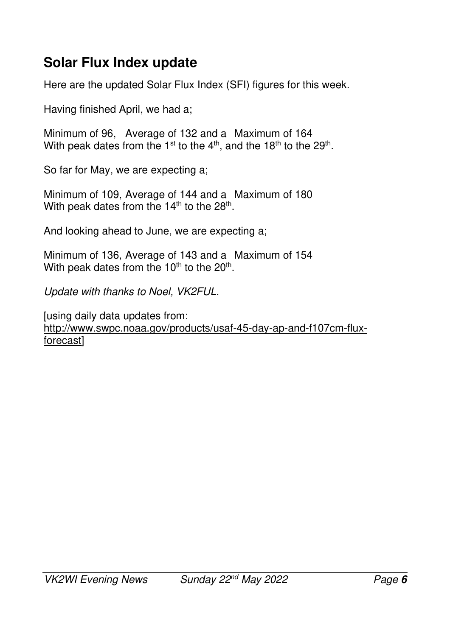### **Solar Flux Index update**

Here are the updated Solar Flux Index (SFI) figures for this week.

Having finished April, we had a;

Minimum of 96, Average of 132 and a Maximum of 164 With peak dates from the 1<sup>st</sup> to the 4<sup>th</sup>, and the 18<sup>th</sup> to the 29<sup>th</sup>.

So far for May, we are expecting a;

Minimum of 109, Average of 144 and a Maximum of 180 With peak dates from the 14<sup>th</sup> to the 28<sup>th</sup>.

And looking ahead to June, we are expecting a;

Minimum of 136, Average of 143 and a Maximum of 154 With peak dates from the 10<sup>th</sup> to the 20<sup>th</sup>.

*Update with thanks to Noel, VK2FUL.* 

[using daily data updates from: http://www.swpc.noaa.gov/products/usaf-45-day-ap-and-f107cm-fluxforecast]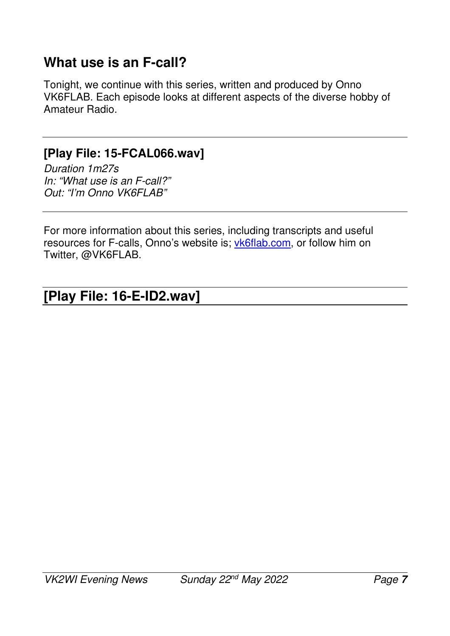#### **What use is an F-call?**

Tonight, we continue with this series, written and produced by Onno VK6FLAB. Each episode looks at different aspects of the diverse hobby of Amateur Radio.

#### **[Play File: 15-FCAL066.wav]**

*Duration 1m27s In: "What use is an F-call?" Out: "I'm Onno VK6FLAB"* 

For more information about this series, including transcripts and useful resources for F-calls, Onno's website is; vk6flab.com, or follow him on Twitter, @VK6FLAB.

#### **[Play File: 16-E-ID2.wav]**   $\overline{\phantom{a}}$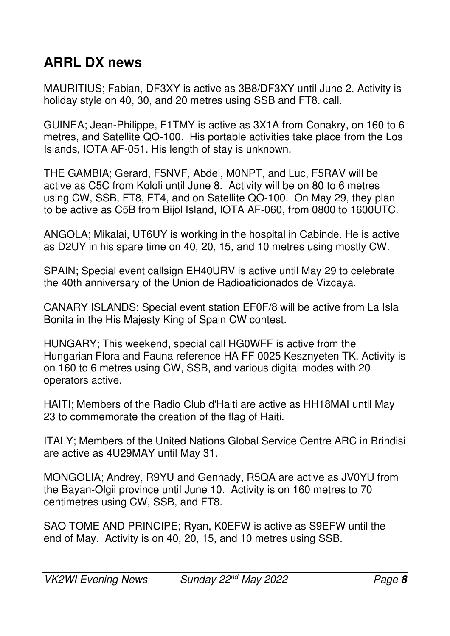# **ARRL DX news**

MAURITIUS; Fabian, DF3XY is active as 3B8/DF3XY until June 2. Activity is holiday style on 40, 30, and 20 metres using SSB and FT8. call.

GUINEA; Jean-Philippe, F1TMY is active as 3X1A from Conakry, on 160 to 6 metres, and Satellite QO-100. His portable activities take place from the Los Islands, IOTA AF-051. His length of stay is unknown.

THE GAMBIA; Gerard, F5NVF, Abdel, M0NPT, and Luc, F5RAV will be active as C5C from Kololi until June 8. Activity will be on 80 to 6 metres using CW, SSB, FT8, FT4, and on Satellite QO-100. On May 29, they plan to be active as C5B from Bijol Island, IOTA AF-060, from 0800 to 1600UTC.

ANGOLA; Mikalai, UT6UY is working in the hospital in Cabinde. He is active as D2UY in his spare time on 40, 20, 15, and 10 metres using mostly CW.

SPAIN; Special event callsign EH40URV is active until May 29 to celebrate the 40th anniversary of the Union de Radioaficionados de Vizcaya.

CANARY ISLANDS; Special event station EF0F/8 will be active from La Isla Bonita in the His Majesty King of Spain CW contest.

HUNGARY; This weekend, special call HG0WFF is active from the Hungarian Flora and Fauna reference HA FF 0025 Kesznyeten TK. Activity is on 160 to 6 metres using CW, SSB, and various digital modes with 20 operators active.

HAITI; Members of the Radio Club d'Haiti are active as HH18MAI until May 23 to commemorate the creation of the flag of Haiti.

ITALY; Members of the United Nations Global Service Centre ARC in Brindisi are active as 4U29MAY until May 31.

MONGOLIA; Andrey, R9YU and Gennady, R5QA are active as JV0YU from the Bayan-Olgii province until June 10. Activity is on 160 metres to 70 centimetres using CW, SSB, and FT8.

SAO TOME AND PRINCIPE; Ryan, K0EFW is active as S9EFW until the end of May. Activity is on 40, 20, 15, and 10 metres using SSB.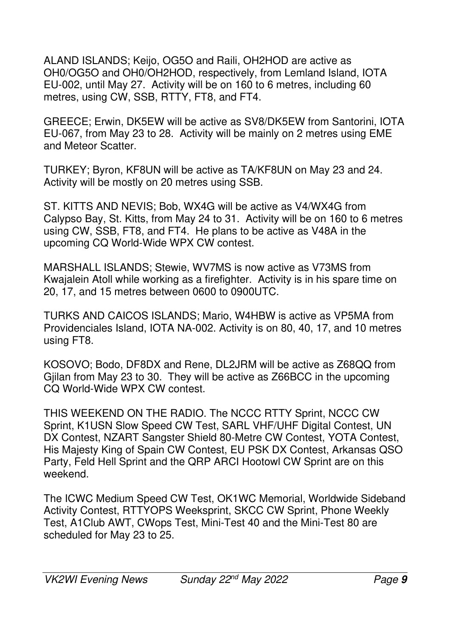ALAND ISLANDS; Keijo, OG5O and Raili, OH2HOD are active as OH0/OG5O and OH0/OH2HOD, respectively, from Lemland Island, IOTA EU-002, until May 27. Activity will be on 160 to 6 metres, including 60 metres, using CW, SSB, RTTY, FT8, and FT4.

GREECE; Erwin, DK5EW will be active as SV8/DK5EW from Santorini, IOTA EU-067, from May 23 to 28. Activity will be mainly on 2 metres using EME and Meteor Scatter.

TURKEY; Byron, KF8UN will be active as TA/KF8UN on May 23 and 24. Activity will be mostly on 20 metres using SSB.

ST. KITTS AND NEVIS; Bob, WX4G will be active as V4/WX4G from Calypso Bay, St. Kitts, from May 24 to 31. Activity will be on 160 to 6 metres using CW, SSB, FT8, and FT4. He plans to be active as V48A in the upcoming CQ World-Wide WPX CW contest.

MARSHALL ISLANDS; Stewie, WV7MS is now active as V73MS from Kwajalein Atoll while working as a firefighter. Activity is in his spare time on 20, 17, and 15 metres between 0600 to 0900UTC.

TURKS AND CAICOS ISLANDS; Mario, W4HBW is active as VP5MA from Providenciales Island, IOTA NA-002. Activity is on 80, 40, 17, and 10 metres using FT8.

KOSOVO; Bodo, DF8DX and Rene, DL2JRM will be active as Z68QQ from Gjilan from May 23 to 30. They will be active as Z66BCC in the upcoming CQ World-Wide WPX CW contest.

THIS WEEKEND ON THE RADIO. The NCCC RTTY Sprint, NCCC CW Sprint, K1USN Slow Speed CW Test, SARL VHF/UHF Digital Contest, UN DX Contest, NZART Sangster Shield 80-Metre CW Contest, YOTA Contest, His Majesty King of Spain CW Contest, EU PSK DX Contest, Arkansas QSO Party, Feld Hell Sprint and the QRP ARCI Hootowl CW Sprint are on this weekend.

The ICWC Medium Speed CW Test, OK1WC Memorial, Worldwide Sideband Activity Contest, RTTYOPS Weeksprint, SKCC CW Sprint, Phone Weekly Test, A1Club AWT, CWops Test, Mini-Test 40 and the Mini-Test 80 are scheduled for May 23 to 25.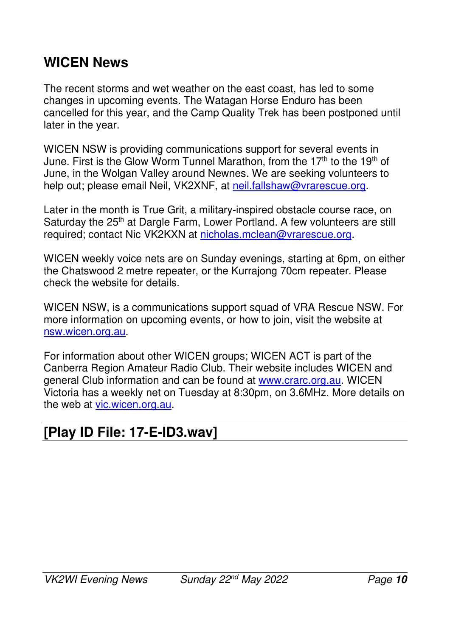#### **WICEN News**

The recent storms and wet weather on the east coast, has led to some changes in upcoming events. The Watagan Horse Enduro has been cancelled for this year, and the Camp Quality Trek has been postponed until later in the year.

WICEN NSW is providing communications support for several events in June. First is the Glow Worm Tunnel Marathon, from the 17<sup>th</sup> to the 19<sup>th</sup> of June, in the Wolgan Valley around Newnes. We are seeking volunteers to help out; please email Neil, VK2XNF, at neil.fallshaw@vrarescue.org.

Later in the month is True Grit, a military-inspired obstacle course race, on Saturday the 25<sup>th</sup> at Dargle Farm, Lower Portland. A few volunteers are still required; contact Nic VK2KXN at nicholas.mclean@vrarescue.org.

WICEN weekly voice nets are on Sunday evenings, starting at 6pm, on either the Chatswood 2 metre repeater, or the Kurrajong 70cm repeater. Please check the website for details.

WICEN NSW, is a communications support squad of VRA Rescue NSW. For more information on upcoming events, or how to join, visit the website at nsw.wicen.org.au.

For information about other WICEN groups; WICEN ACT is part of the Canberra Region Amateur Radio Club. Their website includes WICEN and general Club information and can be found at www.crarc.org.au. WICEN Victoria has a weekly net on Tuesday at 8:30pm, on 3.6MHz. More details on the web at vic.wicen.org.au.

#### **[Play ID File: 17-E-ID3.wav]**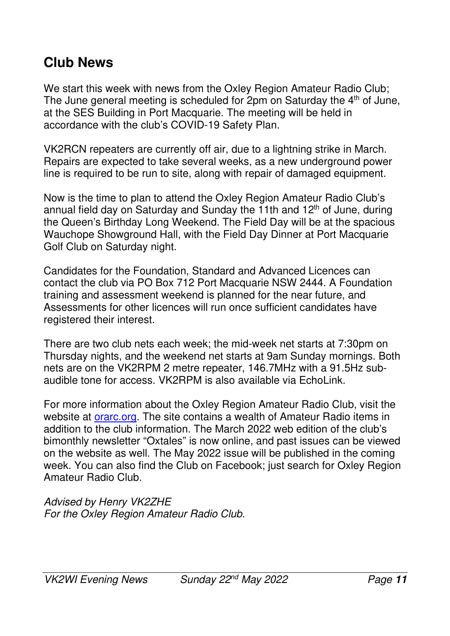#### **Club News**

We start this week with news from the Oxley Region Amateur Radio Club; The June general meeting is scheduled for  $2$ pm on Saturday the  $4<sup>th</sup>$  of June, at the SES Building in Port Macquarie. The meeting will be held in accordance with the club's COVID-19 Safety Plan.

VK2RCN repeaters are currently off air, due to a lightning strike in March. Repairs are expected to take several weeks, as a new underground power line is required to be run to site, along with repair of damaged equipment.

Now is the time to plan to attend the Oxley Region Amateur Radio Club's annual field day on Saturday and Sunday the 11th and  $12<sup>th</sup>$  of June, during the Queen's Birthday Long Weekend. The Field Day will be at the spacious Wauchope Showground Hall, with the Field Day Dinner at Port Macquarie Golf Club on Saturday night.

Candidates for the Foundation, Standard and Advanced Licences can contact the club via PO Box 712 Port Macquarie NSW 2444. A Foundation training and assessment weekend is planned for the near future, and Assessments for other licences will run once sufficient candidates have registered their interest.

There are two club nets each week; the mid-week net starts at 7:30pm on Thursday nights, and the weekend net starts at 9am Sunday mornings. Both nets are on the VK2RPM 2 metre repeater, 146.7MHz with a 91.5Hz subaudible tone for access. VK2RPM is also available via EchoLink.

For more information about the Oxley Region Amateur Radio Club, visit the website at *orarc.org*. The site contains a wealth of Amateur Radio items in addition to the club information. The March 2022 web edition of the club's bimonthly newsletter "Oxtales" is now online, and past issues can be viewed on the website as well. The May 2022 issue will be published in the coming week. You can also find the Club on Facebook; just search for Oxley Region Amateur Radio Club.

*Advised by Henry VK2ZHE For the Oxley Region Amateur Radio Club.*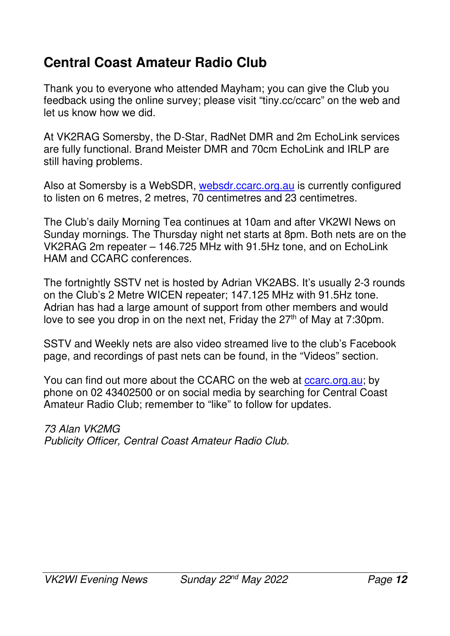# **Central Coast Amateur Radio Club**

Thank you to everyone who attended Mayham; you can give the Club you feedback using the online survey; please visit "tiny.cc/ccarc" on the web and let us know how we did.

At VK2RAG Somersby, the D-Star, RadNet DMR and 2m EchoLink services are fully functional. Brand Meister DMR and 70cm EchoLink and IRLP are still having problems.

Also at Somersby is a WebSDR, websdr.ccarc.org.au is currently configured to listen on 6 metres, 2 metres, 70 centimetres and 23 centimetres.

The Club's daily Morning Tea continues at 10am and after VK2WI News on Sunday mornings. The Thursday night net starts at 8pm. Both nets are on the VK2RAG 2m repeater – 146.725 MHz with 91.5Hz tone, and on EchoLink HAM and CCARC conferences.

The fortnightly SSTV net is hosted by Adrian VK2ABS. It's usually 2-3 rounds on the Club's 2 Metre WICEN repeater; 147.125 MHz with 91.5Hz tone. Adrian has had a large amount of support from other members and would love to see you drop in on the next net, Friday the 27<sup>th</sup> of May at 7:30pm.

SSTV and Weekly nets are also video streamed live to the club's Facebook page, and recordings of past nets can be found, in the "Videos" section.

You can find out more about the CCARC on the web at ccarc.org.au; by phone on 02 43402500 or on social media by searching for Central Coast Amateur Radio Club; remember to "like" to follow for updates.

*73 Alan VK2MG Publicity Officer, Central Coast Amateur Radio Club.*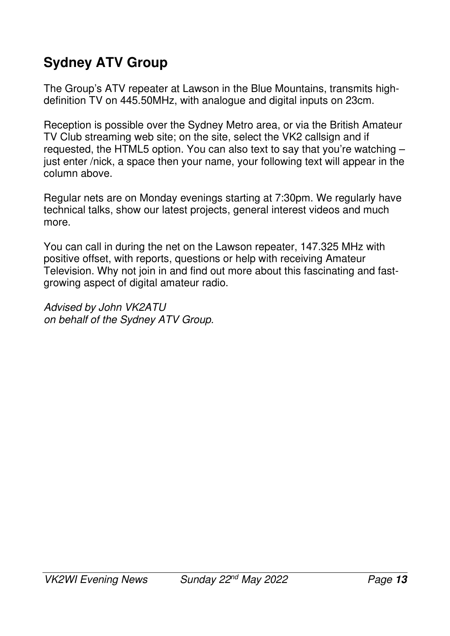# **Sydney ATV Group**

The Group's ATV repeater at Lawson in the Blue Mountains, transmits highdefinition TV on 445.50MHz, with analogue and digital inputs on 23cm.

Reception is possible over the Sydney Metro area, or via the British Amateur TV Club streaming web site; on the site, select the VK2 callsign and if requested, the HTML5 option. You can also text to say that you're watching – just enter /nick, a space then your name, your following text will appear in the column above.

Regular nets are on Monday evenings starting at 7:30pm. We regularly have technical talks, show our latest projects, general interest videos and much more.

You can call in during the net on the Lawson repeater, 147.325 MHz with positive offset, with reports, questions or help with receiving Amateur Television. Why not join in and find out more about this fascinating and fastgrowing aspect of digital amateur radio.

*Advised by John VK2ATU on behalf of the Sydney ATV Group.*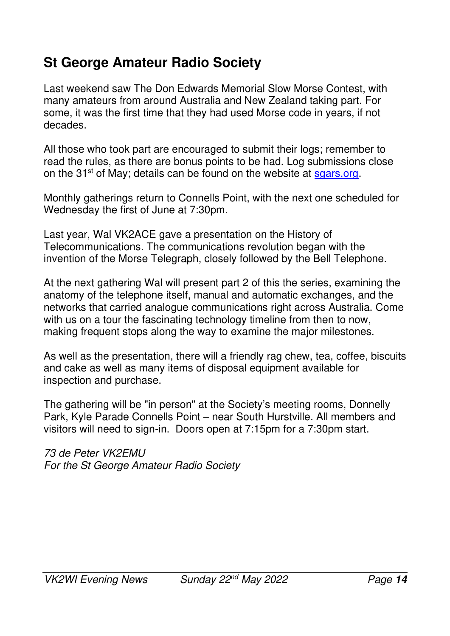# **St George Amateur Radio Society**

Last weekend saw The Don Edwards Memorial Slow Morse Contest, with many amateurs from around Australia and New Zealand taking part. For some, it was the first time that they had used Morse code in years, if not decades.

All those who took part are encouraged to submit their logs; remember to read the rules, as there are bonus points to be had. Log submissions close on the 31<sup>st</sup> of May; details can be found on the website at sgars.org.

Monthly gatherings return to Connells Point, with the next one scheduled for Wednesday the first of June at 7:30pm.

Last year, Wal VK2ACE gave a presentation on the History of Telecommunications. The communications revolution began with the invention of the Morse Telegraph, closely followed by the Bell Telephone.

At the next gathering Wal will present part 2 of this the series, examining the anatomy of the telephone itself, manual and automatic exchanges, and the networks that carried analogue communications right across Australia. Come with us on a tour the fascinating technology timeline from then to now, making frequent stops along the way to examine the major milestones.

As well as the presentation, there will a friendly rag chew, tea, coffee, biscuits and cake as well as many items of disposal equipment available for inspection and purchase.

The gathering will be "in person" at the Society's meeting rooms, Donnelly Park, Kyle Parade Connells Point – near South Hurstville. All members and visitors will need to sign-in. Doors open at 7:15pm for a 7:30pm start.

*73 de Peter VK2EMU For the St George Amateur Radio Society*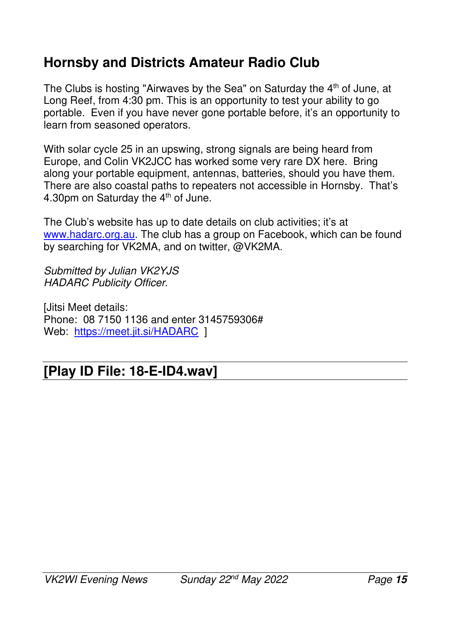## **Hornsby and Districts Amateur Radio Club**

The Clubs is hosting "Airwaves by the Sea" on Saturday the 4<sup>th</sup> of June, at Long Reef, from 4:30 pm. This is an opportunity to test your ability to go portable. Even if you have never gone portable before, it's an opportunity to learn from seasoned operators.

With solar cycle 25 in an upswing, strong signals are being heard from Europe, and Colin VK2JCC has worked some very rare DX here. Bring along your portable equipment, antennas, batteries, should you have them. There are also coastal paths to repeaters not accessible in Hornsby. That's 4.30pm on Saturday the 4<sup>th</sup> of June.

The Club's website has up to date details on club activities; it's at www.hadarc.org.au. The club has a group on Facebook, which can be found by searching for VK2MA, and on twitter, @VK2MA.

*Submitted by Julian VK2YJS HADARC Publicity Officer.* 

[Jitsi Meet details: Phone: 08 7150 1136 and enter 3145759306# Web: https://meet.jit.si/HADARC 1

#### **[Play ID File: 18-E-ID4.wav]**